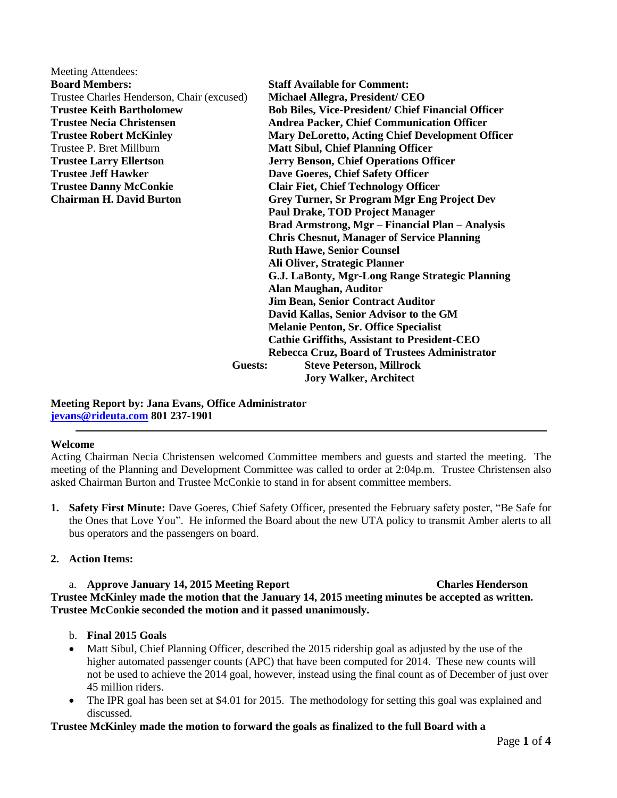| Meeting Attendees:                         |                                                           |
|--------------------------------------------|-----------------------------------------------------------|
| <b>Board Members:</b>                      | <b>Staff Available for Comment:</b>                       |
| Trustee Charles Henderson, Chair (excused) | Michael Allegra, President/ CEO                           |
| <b>Trustee Keith Bartholomew</b>           | <b>Bob Biles, Vice-President/ Chief Financial Officer</b> |
| <b>Trustee Necia Christensen</b>           | <b>Andrea Packer, Chief Communication Officer</b>         |
| <b>Trustee Robert McKinley</b>             | <b>Mary DeLoretto, Acting Chief Development Officer</b>   |
| Trustee P. Bret Millburn                   | <b>Matt Sibul, Chief Planning Officer</b>                 |
| <b>Trustee Larry Ellertson</b>             | Jerry Benson, Chief Operations Officer                    |
| <b>Trustee Jeff Hawker</b>                 | Dave Goeres, Chief Safety Officer                         |
| <b>Trustee Danny McConkie</b>              | <b>Clair Fiet, Chief Technology Officer</b>               |
| <b>Chairman H. David Burton</b>            | <b>Grey Turner, Sr Program Mgr Eng Project Dev</b>        |
|                                            | <b>Paul Drake, TOD Project Manager</b>                    |
|                                            | Brad Armstrong, Mgr - Financial Plan - Analysis           |
|                                            | <b>Chris Chesnut, Manager of Service Planning</b>         |
|                                            | <b>Ruth Hawe, Senior Counsel</b>                          |
| <b>Guests:</b>                             | Ali Oliver, Strategic Planner                             |
|                                            | G.J. LaBonty, Mgr-Long Range Strategic Planning           |
|                                            | <b>Alan Maughan, Auditor</b>                              |
|                                            | <b>Jim Bean, Senior Contract Auditor</b>                  |
|                                            | David Kallas, Senior Advisor to the GM                    |
|                                            | <b>Melanie Penton, Sr. Office Specialist</b>              |
|                                            | <b>Cathie Griffiths, Assistant to President-CEO</b>       |
|                                            | Rebecca Cruz, Board of Trustees Administrator             |
|                                            | <b>Steve Peterson, Millrock</b>                           |
|                                            | <b>Jory Walker, Architect</b>                             |

#### **Meeting Report by: Jana Evans, Office Administrator [jevans@rideuta.com](mailto:jevans@rideuta.com) 801 237-1901**

## **Welcome**

Acting Chairman Necia Christensen welcomed Committee members and guests and started the meeting. The meeting of the Planning and Development Committee was called to order at 2:04p.m. Trustee Christensen also asked Chairman Burton and Trustee McConkie to stand in for absent committee members.

**1. Safety First Minute:** Dave Goeres, Chief Safety Officer, presented the February safety poster, "Be Safe for the Ones that Love You". He informed the Board about the new UTA policy to transmit Amber alerts to all bus operators and the passengers on board.

## **2. Action Items:**

## a. **Approve January 14, 2015 Meeting Report Charles Henderson Trustee McKinley made the motion that the January 14, 2015 meeting minutes be accepted as written. Trustee McConkie seconded the motion and it passed unanimously.**

- b. **Final 2015 Goals**
- Matt Sibul, Chief Planning Officer, described the 2015 ridership goal as adjusted by the use of the higher automated passenger counts (APC) that have been computed for 2014. These new counts will not be used to achieve the 2014 goal, however, instead using the final count as of December of just over 45 million riders.
- The IPR goal has been set at \$4.01 for 2015. The methodology for setting this goal was explained and discussed.

## **Trustee McKinley made the motion to forward the goals as finalized to the full Board with a**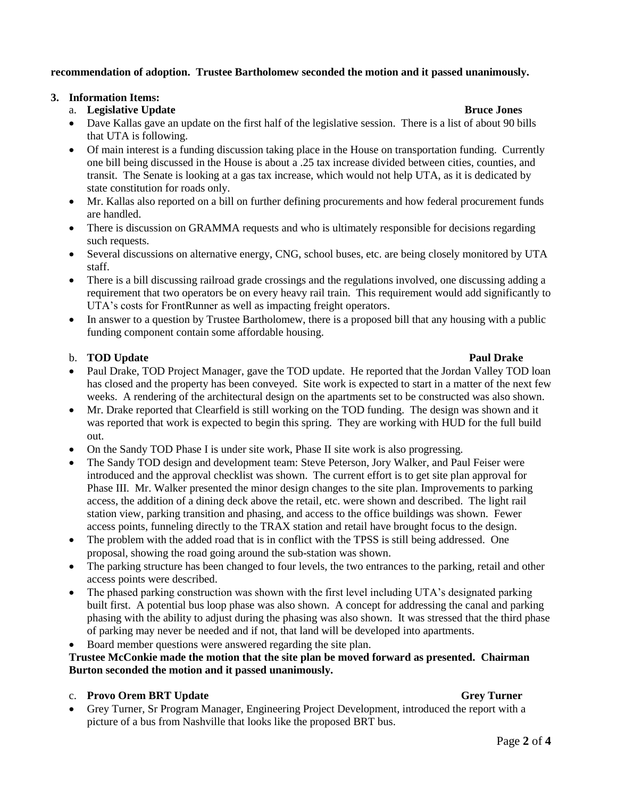## **recommendation of adoption. Trustee Bartholomew seconded the motion and it passed unanimously.**

## **3. Information Items:**

## a. **Legislative Update Bruce Jones**

- Dave Kallas gave an update on the first half of the legislative session. There is a list of about 90 bills that UTA is following.
- Of main interest is a funding discussion taking place in the House on transportation funding. Currently one bill being discussed in the House is about a .25 tax increase divided between cities, counties, and transit. The Senate is looking at a gas tax increase, which would not help UTA, as it is dedicated by state constitution for roads only.
- Mr. Kallas also reported on a bill on further defining procurements and how federal procurement funds are handled.
- There is discussion on GRAMMA requests and who is ultimately responsible for decisions regarding such requests.
- Several discussions on alternative energy, CNG, school buses, etc. are being closely monitored by UTA staff.
- There is a bill discussing railroad grade crossings and the regulations involved, one discussing adding a requirement that two operators be on every heavy rail train. This requirement would add significantly to UTA's costs for FrontRunner as well as impacting freight operators.
- In answer to a question by Trustee Bartholomew, there is a proposed bill that any housing with a public funding component contain some affordable housing.

## b. **TOD Update Paul Drake Paul Drake Paul Drake**

## • Paul Drake, TOD Project Manager, gave the TOD update. He reported that the Jordan Valley TOD loan has closed and the property has been conveyed. Site work is expected to start in a matter of the next few weeks. A rendering of the architectural design on the apartments set to be constructed was also shown.

- Mr. Drake reported that Clearfield is still working on the TOD funding. The design was shown and it was reported that work is expected to begin this spring. They are working with HUD for the full build out.
- On the Sandy TOD Phase I is under site work, Phase II site work is also progressing.
- The Sandy TOD design and development team: Steve Peterson, Jory Walker, and Paul Feiser were introduced and the approval checklist was shown. The current effort is to get site plan approval for Phase III. Mr. Walker presented the minor design changes to the site plan. Improvements to parking access, the addition of a dining deck above the retail, etc. were shown and described. The light rail station view, parking transition and phasing, and access to the office buildings was shown. Fewer access points, funneling directly to the TRAX station and retail have brought focus to the design.
- The problem with the added road that is in conflict with the TPSS is still being addressed. One proposal, showing the road going around the sub-station was shown.
- The parking structure has been changed to four levels, the two entrances to the parking, retail and other access points were described.
- The phased parking construction was shown with the first level including UTA's designated parking built first. A potential bus loop phase was also shown. A concept for addressing the canal and parking phasing with the ability to adjust during the phasing was also shown. It was stressed that the third phase of parking may never be needed and if not, that land will be developed into apartments.
- Board member questions were answered regarding the site plan.

## **Trustee McConkie made the motion that the site plan be moved forward as presented. Chairman Burton seconded the motion and it passed unanimously.**

# c. **Provo Orem BRT Update** Grey Turner Grey Turner

# Grey Turner, Sr Program Manager, Engineering Project Development, introduced the report with a picture of a bus from Nashville that looks like the proposed BRT bus.

## Page **2** of **4**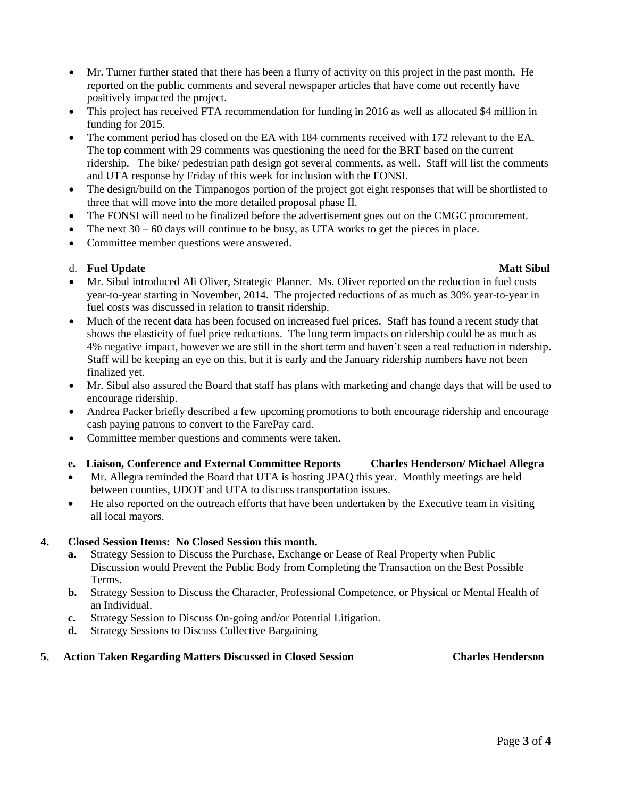- Mr. Turner further stated that there has been a flurry of activity on this project in the past month. He reported on the public comments and several newspaper articles that have come out recently have positively impacted the project.
- This project has received FTA recommendation for funding in 2016 as well as allocated \$4 million in funding for 2015.
- The comment period has closed on the EA with 184 comments received with 172 relevant to the EA. The top comment with 29 comments was questioning the need for the BRT based on the current ridership. The bike/ pedestrian path design got several comments, as well. Staff will list the comments and UTA response by Friday of this week for inclusion with the FONSI.
- The design/build on the Timpanogos portion of the project got eight responses that will be shortlisted to three that will move into the more detailed proposal phase II.
- The FONSI will need to be finalized before the advertisement goes out on the CMGC procurement.
- The next  $30 60$  days will continue to be busy, as UTA works to get the pieces in place.
- Committee member questions were answered.

## d. **Fuel Update Matt Sibul**

- Mr. Sibul introduced Ali Oliver, Strategic Planner. Ms. Oliver reported on the reduction in fuel costs year-to-year starting in November, 2014. The projected reductions of as much as 30% year-to-year in fuel costs was discussed in relation to transit ridership.
- Much of the recent data has been focused on increased fuel prices. Staff has found a recent study that shows the elasticity of fuel price reductions. The long term impacts on ridership could be as much as 4% negative impact, however we are still in the short term and haven't seen a real reduction in ridership. Staff will be keeping an eye on this, but it is early and the January ridership numbers have not been finalized yet.
- Mr. Sibul also assured the Board that staff has plans with marketing and change days that will be used to encourage ridership.
- Andrea Packer briefly described a few upcoming promotions to both encourage ridership and encourage cash paying patrons to convert to the FarePay card.
- Committee member questions and comments were taken.

## **e. Liaison, Conference and External Committee Reports Charles Henderson/ Michael Allegra**

- Mr. Allegra reminded the Board that UTA is hosting JPAQ this year. Monthly meetings are held between counties, UDOT and UTA to discuss transportation issues.
- He also reported on the outreach efforts that have been undertaken by the Executive team in visiting all local mayors.

## **4. Closed Session Items: No Closed Session this month.**

- **a.** Strategy Session to Discuss the Purchase, Exchange or Lease of Real Property when Public Discussion would Prevent the Public Body from Completing the Transaction on the Best Possible Terms.
- **b.** Strategy Session to Discuss the Character, Professional Competence, or Physical or Mental Health of an Individual.
- **c.** Strategy Session to Discuss On-going and/or Potential Litigation.
- **d.** Strategy Sessions to Discuss Collective Bargaining

## **5. Action Taken Regarding Matters Discussed in Closed Session Charles Henderson**